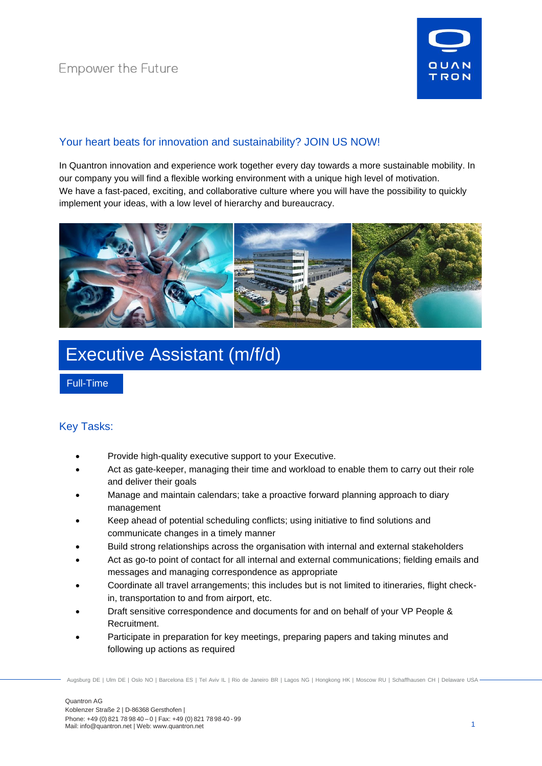

### Your heart beats for innovation and sustainability? JOIN US NOW!

In Quantron innovation and experience work together every day towards a more sustainable mobility. In our company you will find a flexible working environment with a unique high level of motivation. We have a fast-paced, exciting, and collaborative culture where you will have the possibility to quickly implement your ideas, with a low level of hierarchy and bureaucracy.



# Executive Assistant (m/f/d)

Full-Time

### Key Tasks:

- Provide high-quality executive support to your Executive.
- Act as gate-keeper, managing their time and workload to enable them to carry out their role and deliver their goals
- Manage and maintain calendars; take a proactive forward planning approach to diary management
- Keep ahead of potential scheduling conflicts; using initiative to find solutions and communicate changes in a timely manner
- Build strong relationships across the organisation with internal and external stakeholders
- Act as go-to point of contact for all internal and external communications; fielding emails and messages and managing correspondence as appropriate
- Coordinate all travel arrangements; this includes but is not limited to itineraries, flight checkin, transportation to and from airport, etc.
- Draft sensitive correspondence and documents for and on behalf of your VP People & Recruitment.
- Participate in preparation for key meetings, preparing papers and taking minutes and following up actions as required

Augsburg DE | Ulm DE | Oslo NO | Barcelona ES | Tel Aviv IL | Rio de Janeiro BR | Lagos NG | Hongkong HK | Moscow RU | Schaffhausen CH | Delaware USA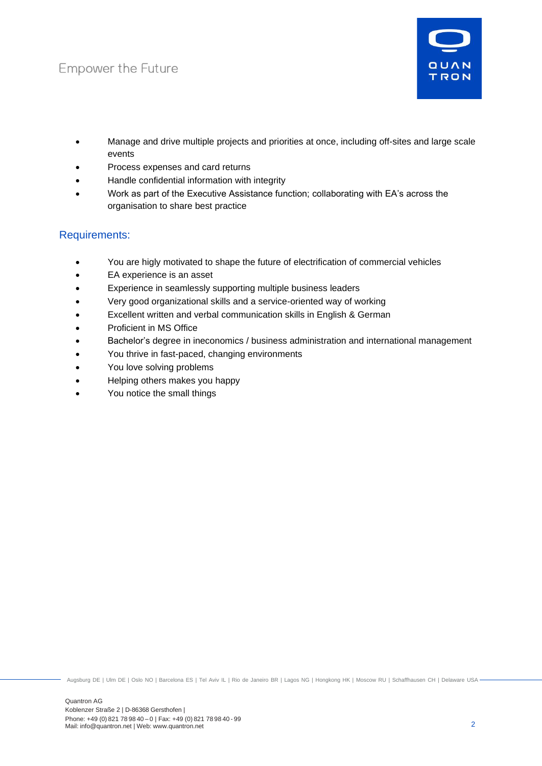## **Empower the Future**



- Manage and drive multiple projects and priorities at once, including off-sites and large scale events
- Process expenses and card returns
- Handle confidential information with integrity
- Work as part of the Executive Assistance function; collaborating with EA's across the organisation to share best practice

### Requirements:

- You are higly motivated to shape the future of electrification of commercial vehicles
- EA experience is an asset
- Experience in seamlessly supporting multiple business leaders
- Very good organizational skills and a service-oriented way of working
- Excellent written and verbal communication skills in English & German
- Proficient in MS Office
- Bachelor's degree in ineconomics / business administration and international management
- You thrive in fast-paced, changing environments
- You love solving problems
- Helping others makes you happy
- You notice the small things

Augsburg DE | Ulm DE | Oslo NO | Barcelona ES | Tel Aviv IL | Rio de Janeiro BR | Lagos NG | Hongkong HK | Moscow RU | Schaffhausen CH | Delaware USA